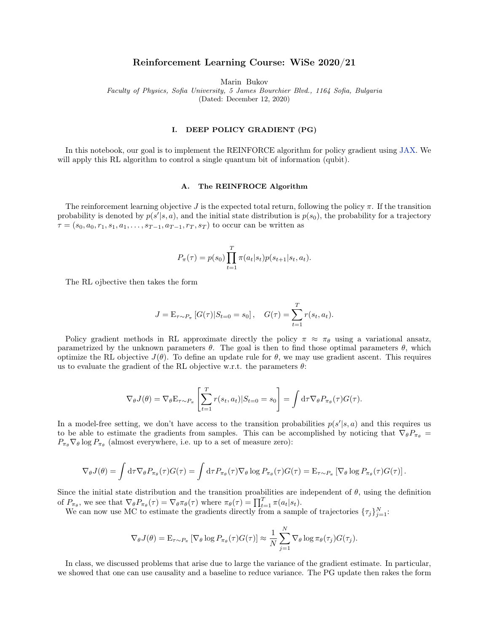# Reinforcement Learning Course: WiSe 2020/21

Marin Bukov

Faculty of Physics, Sofia University, 5 James Bourchier Blvd., 1164 Sofia, Bulgaria

(Dated: December 12, 2020)

### I. DEEP POLICY GRADIENT (PG)

In this notebook, our goal is to implement the REINFORCE algorithm for policy gradient using [JAX.](https://jax.readthedocs.io/en/latest/) We will apply this RL algorithm to control a single quantum bit of information (qubit).

## A. The REINFROCE Algorithm

The reinforcement learning objective J is the expected total return, following the policy  $\pi$ . If the transition probability is denoted by  $p(s'|s, a)$ , and the initial state distribution is  $p(s_0)$ , the probability for a trajectory  $\tau = (s_0, a_0, r_1, s_1, a_1, \ldots, s_{T-1}, a_{T-1}, r_T, s_T)$  to occur can be written as

$$
P_{\pi}(\tau) = p(s_0) \prod_{t=1}^{T} \pi(a_t|s_t) p(s_{t+1}|s_t, a_t).
$$

The RL ojbective then takes the form

$$
J = \mathbf{E}_{\tau \sim P_{\pi}} [G(\tau) | S_{t=0} = s_0], \quad G(\tau) = \sum_{t=1}^{T} r(s_t, a_t).
$$

Policy gradient methods in RL approximate directly the policy  $\pi \approx \pi_{\theta}$  using a variational ansatz, parametrized by the unknown parameters  $\theta$ . The goal is then to find those optimal parameters  $\theta$ , which optimize the RL objective  $J(\theta)$ . To define an update rule for  $\theta$ , we may use gradient ascent. This requires us to evaluate the gradient of the RL objective w.r.t. the parameters  $\theta$ :

$$
\nabla_{\theta} J(\theta) = \nabla_{\theta} \mathcal{E}_{\tau \sim P_{\pi}} \left[ \sum_{t=1}^{T} r(s_t, a_t) | S_{t=0} = s_0 \right] = \int d\tau \nabla_{\theta} P_{\pi_{\theta}}(\tau) G(\tau).
$$

In a model-free setting, we don't have access to the transition probabilities  $p(s'|s, a)$  and this requires us to be able to estimate the gradients from samples. This can be accomplished by noticing that  $\nabla_{\theta}P_{\pi_{\theta}} =$  $P_{\pi_{\theta}}\nabla_{\theta}\log P_{\pi_{\theta}}$  (almost everywhere, i.e. up to a set of measure zero):

$$
\nabla_{\theta} J(\theta) = \int d\tau \nabla_{\theta} P_{\pi_{\theta}}(\tau) G(\tau) = \int d\tau P_{\pi_{\theta}}(\tau) \nabla_{\theta} \log P_{\pi_{\theta}}(\tau) G(\tau) = \mathbb{E}_{\tau \sim P_{\pi}} \left[ \nabla_{\theta} \log P_{\pi_{\theta}}(\tau) G(\tau) \right].
$$

Since the initial state distribution and the transition proabilities are independent of  $\theta$ , using the definition of  $P_{\pi_{\theta}}$ , we see that  $\nabla_{\theta} P_{\pi_{\theta}}(\tau) = \nabla_{\theta} \pi_{\theta}(\tau)$  where  $\pi_{\theta}(\tau) = \prod_{t=1}^{T} \pi(a_t | s_t)$ .

We can now use MC to estimate the gradients directly from a sample of trajectories  $\{\tau_j\}_{j=1}^N$ :

$$
\nabla_{\theta} J(\theta) = \mathbf{E}_{\tau \sim P_{\pi}} \left[ \nabla_{\theta} \log P_{\pi_{\theta}}(\tau) G(\tau) \right] \approx \frac{1}{N} \sum_{j=1}^{N} \nabla_{\theta} \log \pi_{\theta}(\tau_j) G(\tau_j).
$$

In class, we discussed problems that arise due to large the variance of the gradient estimate. In particular, we showed that one can use causality and a baseline to reduce variance. The PG update then rakes the form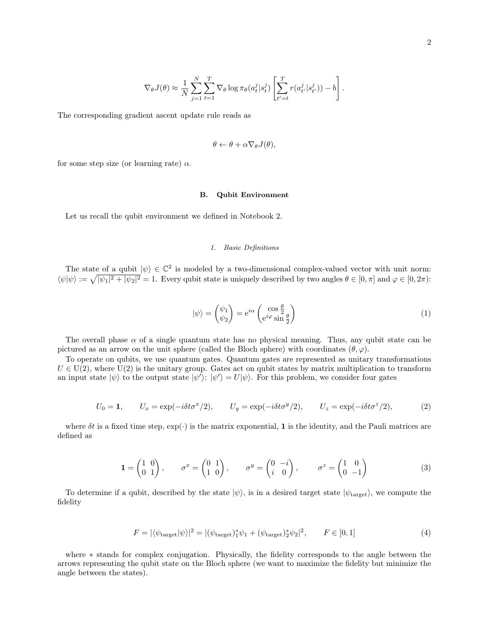$$
\nabla_{\theta} J(\theta) \approx \frac{1}{N} \sum_{j=1}^{N} \sum_{t=1}^{T} \nabla_{\theta} \log \pi_{\theta}(a_t^j | s_t^j) \left[ \sum_{t'=t}^{T} r(a_{t'}^j | s_{t'}^j)) - b \right].
$$

The corresponding gradient ascent update rule reads as

$$
\theta \leftarrow \theta + \alpha \nabla_{\theta} J(\theta),
$$

for some step size (or learning rate)  $\alpha$ .

### B. Qubit Environment

Let us recall the qubit environment we defined in Notebook 2.

## 1. Basic Definitions

The state of a qubit  $|\psi\rangle \in \mathbb{C}^2$  is modeled by a two-dimensional complex-valued vector with unit norm:  $\langle \psi | \psi \rangle := \sqrt{|\psi_1|^2 + |\psi_2|^2} = 1$ . Every qubit state is uniquely described by two angles  $\theta \in [0, \pi]$  and  $\varphi \in [0, 2\pi)$ :

$$
|\psi\rangle = \begin{pmatrix} \psi_1 \\ \psi_2 \end{pmatrix} = e^{i\alpha} \begin{pmatrix} \cos\frac{\theta}{2} \\ e^{i\varphi}\sin\frac{\theta}{2} \end{pmatrix}
$$
 (1)

The overall phase  $\alpha$  of a single quantum state has no physical meaning. Thus, any qubit state can be pictured as an arrow on the unit sphere (called the Bloch sphere) with coordinates  $(\theta, \varphi)$ .

To operate on qubits, we use quantum gates. Quantum gates are represented as unitary transformations  $U \in U(2)$ , where  $U(2)$  is the unitary group. Gates act on qubit states by matrix multiplication to transform an input state  $|\psi\rangle$  to the output state  $|\psi'\rangle$ :  $|\psi'\rangle = U|\psi\rangle$ . For this problem, we consider four gates

$$
U_0 = 1, \qquad U_x = \exp(-i\delta t \sigma^x/2), \qquad U_y = \exp(-i\delta t \sigma^y/2), \qquad U_z = \exp(-i\delta t \sigma^z/2), \tag{2}
$$

where  $\delta t$  is a fixed time step,  $\exp(\cdot)$  is the matrix exponential, 1 is the identity, and the Pauli matrices are defined as

$$
\mathbf{1} = \begin{pmatrix} 1 & 0 \\ 0 & 1 \end{pmatrix}, \qquad \sigma^x = \begin{pmatrix} 0 & 1 \\ 1 & 0 \end{pmatrix}, \qquad \sigma^y = \begin{pmatrix} 0 & -i \\ i & 0 \end{pmatrix}, \qquad \sigma^z = \begin{pmatrix} 1 & 0 \\ 0 & -1 \end{pmatrix}
$$
 (3)

To determine if a qubit, described by the state  $|\psi\rangle$ , is in a desired target state  $|\psi_{\text{target}}\rangle$ , we compute the fidelity

$$
F = |\langle \psi_{\text{target}} | \psi \rangle|^2 = |(\psi_{\text{target}})_1^* \psi_1 + (\psi_{\text{target}})_2^* \psi_2|^2, \qquad F \in [0, 1]
$$
\n
$$
(4)
$$

where ∗ stands for complex conjugation. Physically, the fidelity corresponds to the angle between the arrows representing the qubit state on the Bloch sphere (we want to maximize the fidelity but minimize the angle between the states).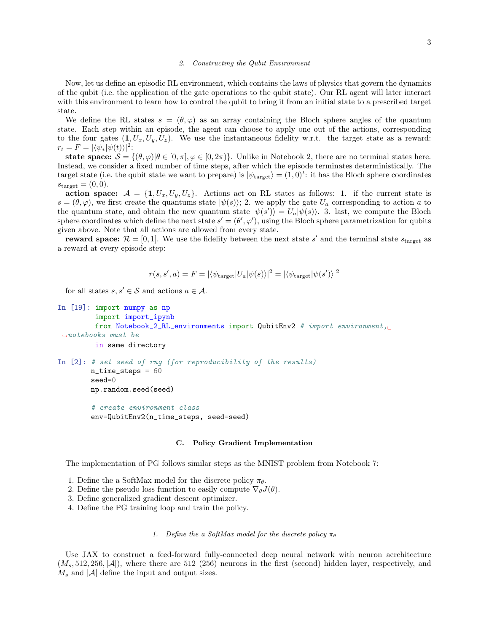#### 2. Constructing the Qubit Environment

Now, let us define an episodic RL environment, which contains the laws of physics that govern the dynamics of the qubit (i.e. the application of the gate operations to the qubit state). Our RL agent will later interact with this environment to learn how to control the qubit to bring it from an initial state to a prescribed target state.

We define the RL states  $s = (\theta, \varphi)$  as an array containing the Bloch sphere angles of the quantum state. Each step within an episode, the agent can choose to apply one out of the actions, corresponding to the four gates  $(1, U_x, U_y, U_z)$ . We use the instantaneous fidelity w.r.t. the target state as a reward:  $r_t = F = |\langle \psi_* | \psi(t) \rangle|^2$ :

state space:  $S = \{(\theta, \varphi) | \theta \in [0, \pi], \varphi \in [0, 2\pi)\}.$  Unlike in Notebook 2, there are no terminal states here. Instead, we consider a fixed number of time steps, after which the episode terminates deterministically. The target state (i.e. the qubit state we want to prepare) is  $|\psi_{\text{target}}\rangle = (1,0)^t$ : it has the Bloch sphere coordinates  $s_{\text{target}} = (0, 0).$ 

action space:  $A = \{1, U_x, U_y, U_z\}$ . Actions act on RL states as follows: 1. if the current state is  $s = (\theta, \varphi)$ , we first create the quantums state  $|\psi(s)\rangle$ ; 2. we apply the gate  $U_a$  corresponding to action a to the quantum state, and obtain the new quantum state  $|\psi(s')\rangle = U_a |\psi(s)\rangle$ . 3. last, we compute the Bloch sphere coordinates which define the next state  $s' = (\theta', \varphi')$ , using the Bloch sphere parametrization for qubits given above. Note that all actions are allowed from every state.

reward space:  $\mathcal{R} = [0, 1]$ . We use the fidelity between the next state s' and the terminal state s<sub>target</sub> as a reward at every episode step:

$$
r(s, s', a) = F = |\langle \psi_{\text{target}} | U_a | \psi(s) \rangle|^2 = |\langle \psi_{\text{target}} | \psi(s') \rangle|^2
$$

for all states  $s, s' \in \mathcal{S}$  and actions  $a \in \mathcal{A}$ .

```
In [19]: import numpy as np
         import import_ipynb
         from Notebook_2_RL_environments import QubitEnv2 # import environment,\Box\rightarrownotebooks must be
         in same directory
In [2]: # set seed of rng (for reproducibility of the results)
        n_time\_steps = 60seed=0
        np.random.seed(seed)
```

```
# create environment class
env=QubitEnv2(n_time_steps, seed=seed)
```
## C. Policy Gradient Implementation

The implementation of PG follows similar steps as the MNIST problem from Notebook 7:

- 1. Define the a SoftMax model for the discrete policy  $\pi_{\theta}$ .
- 2. Define the pseudo loss function to easily compute  $\nabla_{\theta}J(\theta)$ .
- 3. Define generalized gradient descent optimizer.
- 4. Define the PG training loop and train the policy.

### 1. Define the a SoftMax model for the discrete policy  $\pi_{\theta}$

Use JAX to construct a feed-forward fully-connected deep neural network with neuron acrchitecture  $(M_s, 512, 256, |\mathcal{A}|)$ , where there are 512 (256) neurons in the first (second) hidden layer, respectively, and  $M_s$  and  $|\mathcal{A}|$  define the input and output sizes.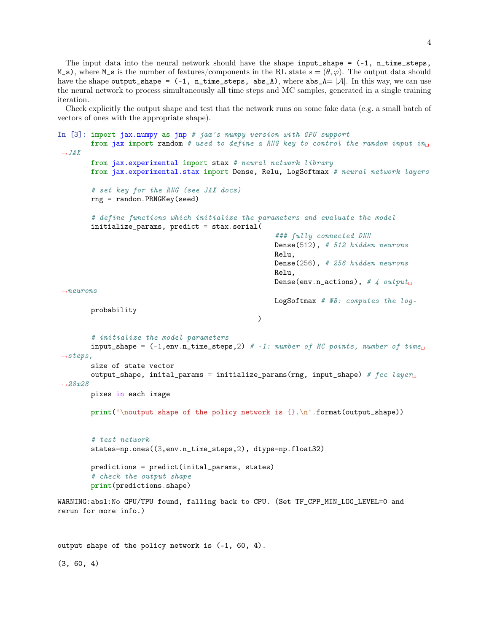The input data into the neural network should have the shape input\_shape  $= (-1, n_$ time\_steps, M\_s), where M\_s is the number of features/components in the RL state  $s = (\theta, \varphi)$ . The output data should have the shape output\_shape =  $(-1, n_time_steps, abs_A)$ , where  $abs_A = |\mathcal{A}|$ . In this way, we can use the neural network to process simultaneously all time steps and MC samples, generated in a single training iteration.

Check explicitly the output shape and test that the network runs on some fake data (e.g. a small batch of vectors of ones with the appropriate shape).

```
In [3]: import jax.numpy as jnp # jax's numpy version with GPU support
        from jax import random # used to define a RNG key to control the random input i n_{\perp}\hookrightarrow JAXfrom jax.experimental import stax # neural network library
        from jax.experimental.stax import Dense, Relu, LogSoftmax # neural network layers
        # set key for the RNG (see JAX docs)
        rng = random.PRMGKey(seed)# define functions which initialize the parameters and evaluate the model
        initialize_params, predict = stax.serial(
                                                       ### fully connected DNN
                                                       Dense(512), # 512 hidden neurons
                                                       Relu,
                                                       Dense(256), # 256 hidden neurons
                                                       Relu,
                                                       Dense(env.n_actions), # 4 output\Box\rightarrowneurons
                                                       LogSoftmax # NB: computes the log-
        probability
                                                   \lambda# initialize the model parameters
        input\_shape = (-1, env.n\_time\_steps, 2) # -1: number of MC points, number of time<sub>u</sub>
 \rightarrowsteps,
        size of state vector
        output_shape, inital_params = initialize_params(rng, input_shape) # fcc\ layer_{\sqcup}-28x28pixes in each image
        print('\noutput shape of the policy network is {}.\n'.format(output_shape))
        # test network
        states=np.ones((3,env.n_time_steps,2), dtype=np.float32)
        predictions = predict(inital_params, states)
        # check the output shape
        print(predictions.shape)
WARNING:absl:No GPU/TPU found, falling back to CPU. (Set TF_CPP_MIN_LOG_LEVEL=0 and
rerun for more info.)
```
output shape of the policy network is (-1, 60, 4).

(3, 60, 4)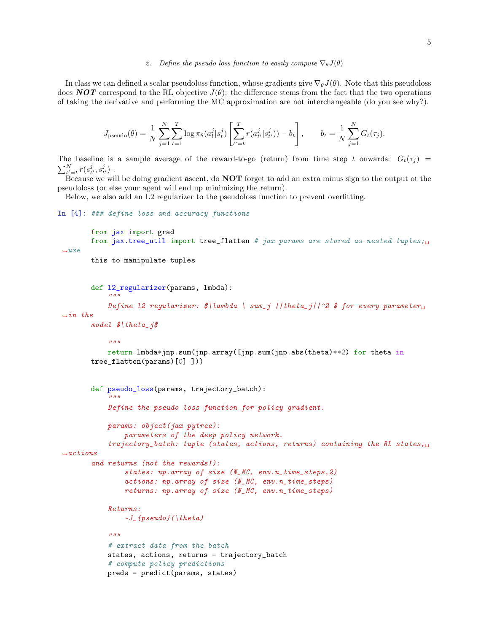#### 2. Define the pseudo loss function to easily compute  $\nabla_{\theta}J(\theta)$

In class we can defined a scalar pseudoloss function, whose gradients give  $\nabla_{\theta}J(\theta)$ . Note that this pseudoloss does **NOT** correspond to the RL objective  $J(\theta)$ : the difference stems from the fact that the two operations of taking the derivative and performing the MC approximation are not interchangeable (do you see why?).

$$
J_{\text{pseudo}}(\theta) = \frac{1}{N} \sum_{j=1}^{N} \sum_{t=1}^{T} \log \pi_{\theta}(a_t^j | s_t^j) \left[ \sum_{t'=t}^{T} r(a_{t'}^j | s_{t'}^j)) - b_t \right], \qquad b_t = \frac{1}{N} \sum_{j=1}^{N} G_t(\tau_j).
$$

The baseline is a sample average of the reward-to-go (return) from time step t onwards:  $G_t(\tau_j)$  =  $\sum_{t'=t}^{N} r(s_{t'}^j, s_{t'}^j)$ .

Because we will be doing gradient ascent, do NOT forget to add an extra minus sign to the output ot the pseudoloss (or else your agent will end up minimizing the return).

Below, we also add an L2 regularizer to the pseudoloss function to prevent overfitting.

## In [4]: ### define loss and accuracy functions

```
from jax import grad
        from jax.tree_util import tree_flatten # jax params are stored as nested tuples;\Box\rightarrow11.5\rho
```
this to manipulate tuples

```
def l2_regularizer(params, lmbda):
```

```
Define l2 regularizer: \frac{\delta}{\alpha} \ \mathrm{sum}_j / \frac{\delta}{2} \ for every parameter
```

```
\rightarrowin the
```
model \$\theta\_j\$

 $"''"$ 

"""

```
return lmbda*jnp.sum(jnp.array([jnp.sum(jnp.abs(theta)**2) for theta in
tree_flatten(params)[0] ]))
```

```
def pseudo_loss(params, trajectory_batch):
           """
           Define the pseudo loss function for policy gradient.
           params: object(jax pytree):
               parameters of the deep policy network.
           trajectory_batch: tuple (states, actions, returns) containing the RL states,\Box\rightarrowactions
       and returns (not the rewards!):
               states: np.array of size (N_MC, env.n_time_steps,2)
               actions: np.array of size (N_MC, env.n_time_steps)
               returns: np.array of size (N_MC, env.n_time_steps)
           Returns:
               -J_{-}{pseudo}(\theta)
           "''"# extract data from the batch
           states, actions, returns = trajectory_batch
           # compute policy predictions
           preds = predict(params, states)
```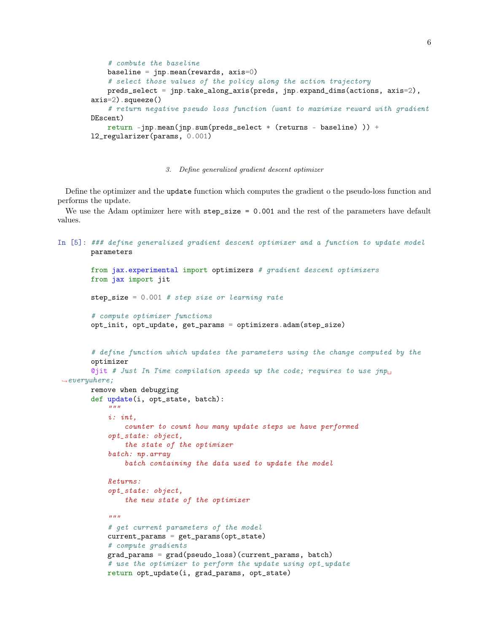```
# combute the baseline
   baseline = jnp.mean(rewards, axis=0)
    # select those values of the policy along the action trajectory
   preds_select = jnp.take_along_axis(preds, jnp.expand_dims(actions, axis=2),
axis=2).squeeze()
    # return negative pseudo loss function (want to maximize reward with gradient
DEscent)
    return -jnp.mean(jnp.sum(preds_select * (returns - baseline) )) +
l2_regularizer(params, 0.001)
```
### 3. Define generalized gradient descent optimizer

Define the optimizer and the update function which computes the gradient o the pseudo-loss function and performs the update.

We use the Adam optimizer here with step\_size = 0.001 and the rest of the parameters have default values.

```
In [5]: ### define generalized gradient descent optimizer and a function to update model
        parameters
        from jax.experimental import optimizers # gradient descent optimizers
        from jax import jit
        step_size = 0.001 # step size or learning rate
        # compute optimizer functions
        opt_init, opt_update, get_params = optimizers.adam(step_size)
        # define function which updates the parameters using the change computed by the
        optimizer
        Qjit # Just In Time compilation speeds up the code; requires to use jnp_{\text{U}}\rightarroweverywhere;
        remove when debugging
        def update(i, opt_state, batch):
            "''"''"i: int,
                counter to count how many update steps we have performed
            opt_state: object,
                the state of the optimizer
            batch: np.array
                batch containing the data used to update the model
            Returns:
            opt_state: object,
                the new state of the optimizer
            "''"# get current parameters of the model
            current_params = get_params(opt_state)
            # compute gradients
            grad_params = grad(pseudo_loss)(current_params, batch)
            # use the optimizer to perform the update using opt_update
            return opt_update(i, grad_params, opt_state)
```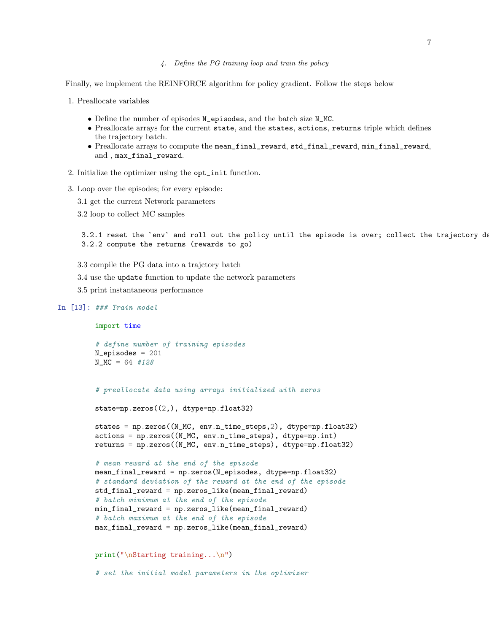### 4. Define the PG training loop and train the policy

Finally, we implement the REINFORCE algorithm for policy gradient. Follow the steps below

- 1. Preallocate variables
	- Define the number of episodes N\_episodes, and the batch size N\_MC.
	- Preallocate arrays for the current state, and the states, actions, returns triple which defines the trajectory batch.
	- Preallocate arrays to compute the mean\_final\_reward, std\_final\_reward, min\_final\_reward, and , max\_final\_reward.
- 2. Initialize the optimizer using the opt\_init function.
- 3. Loop over the episodes; for every episode:
	- 3.1 get the current Network parameters
	- 3.2 loop to collect MC samples

3.2.1 reset the `env` and roll out the policy until the episode is over; collect the trajectory data 3.2.2 compute the returns (rewards to go)

- 3.3 compile the PG data into a trajctory batch
- 3.4 use the update function to update the network parameters
- 3.5 print instantaneous performance

# In [13]: ### Train model

```
import time
```

```
# define number of training episodes
N episodes = 201
N_MC = 64 #128
```
# preallocate data using arrays initialized with zeros

```
state=np.zeros((2,), dtype=np.float32)
```

```
states = np.zeros((N_MC, env.n_time_steps,2), dtype=np.float32)
actions = np.zeros((N_MC, env.n_time_steps), dtype=np.int)
returns = np.zeros((N_MC, env.n_time_steps), dtype=np.float32)
```

```
# mean reward at the end of the episode
mean_final_reward = np.zeros(N_episodes, dtype=np.float32)
# standard deviation of the reward at the end of the episode
std_final_reward = np.zeros_like(mean_final_reward)
# batch minimum at the end of the episode
min_final_reward = np.zeros_like(mean_final_reward)
# batch maximum at the end of the episode
max_final_reward = np.zeros_like(mean_final_reward)
```
print("\nStarting training...\n")

# set the initial model parameters in the optimizer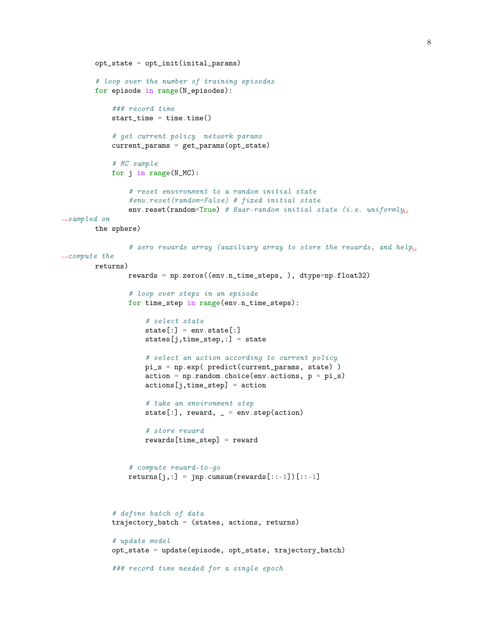```
opt_state = opt_init(inital_params)
        # loop over the number of training episodes
        for episode in range(N_episodes):
            ### record time
            start_time = time.time()# get current policy network params
            current_params = get_params(opt_state)
            # MC sample
            for j in range(N_MC):
                # reset environment to a random initial state
                #env.reset(random=False) # fixed initial state
                env.reset(random=True) # Haar-random initial state (i.e. uniformly_{\text{U}}\rightarrowsampled on
        the sphere)
                # zero rewards array (auxiliary array to store the rewards, and help<sub>u</sub>
\rightarrowcompute the
        returns)
                rewards = np.zeros((env.n_time_steps, ), dtype=np.float32)
                # loop over steps in an episode
                for time_step in range(env.n_time_steps):
                    # select state
                    state[:] = env.state[:]
                    states[j,time_step,:] = state
                    # select an action according to current policy
                    pi_s = np.exp( predict(current_params, state) )
                    action = np.random choice(env.actions, p = pi_s)actions[j,time_step] = action
                    # take an environment step
                    state[:], reward, = env. step(action)
                    # store reward
                    rewards[time_step] = reward
                # compute reward-to-go
                returns[j,:] = jnp.cumsum(rewards[:,:-1])[::-1]# define batch of data
            trajectory_batch = (states, actions, returns)
            # update model
            opt_state = update(episode, opt_state, trajectory_batch)
            ### record time needed for a single epoch
```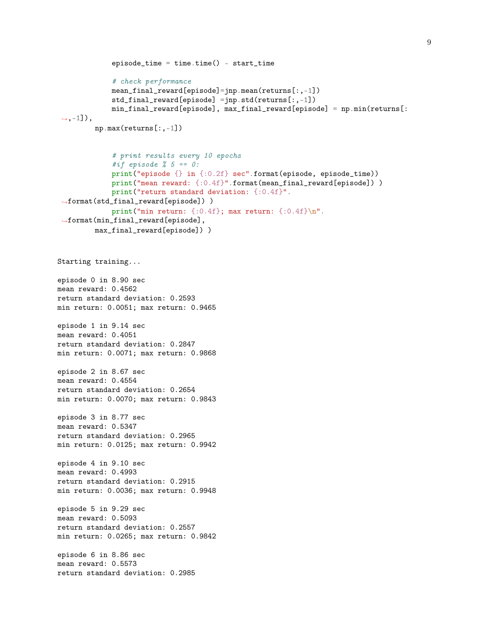```
episode_time = time.time() - start_time# check performance
             mean_final_reward[episode]=jnp.mean(returns[:,-1])
             std_final_reward[episode] =jnp.std(returns[:,-1])
             min_final_reward[episode], max_final_reward[episode] = np.min(returns[:
 \leftrightarrow,-1]),
         np.max(returns[:,-1])
             # print results every 10 epochs
             #if episode % 5 == 0:
             print("episode {} in {:0.2f} sec".format(episode, episode_time))
             print("mean reward: {:0.4f}".format(mean_final_reward[episode]) )
             print("return standard deviation: {:0.4f}".
 ,→format(std_final_reward[episode]) )
             print("min return: {:0.4f}; max return: {:0.4f}\n".
 ,→format(min_final_reward[episode],
         max_final_reward[episode]) )
Starting training...
episode 0 in 8.90 sec
mean reward: 0.4562
return standard deviation: 0.2593
min return: 0.0051; max return: 0.9465
episode 1 in 9.14 sec
mean reward: 0.4051
return standard deviation: 0.2847
min return: 0.0071; max return: 0.9868
episode 2 in 8.67 sec
mean reward: 0.4554
return standard deviation: 0.2654
min return: 0.0070; max return: 0.9843
episode 3 in 8.77 sec
mean reward: 0.5347
return standard deviation: 0.2965
min return: 0.0125; max return: 0.9942
episode 4 in 9.10 sec
mean reward: 0.4993
return standard deviation: 0.2915
min return: 0.0036; max return: 0.9948
episode 5 in 9.29 sec
mean reward: 0.5093
return standard deviation: 0.2557
min return: 0.0265; max return: 0.9842
episode 6 in 8.86 sec
mean reward: 0.5573
return standard deviation: 0.2985
```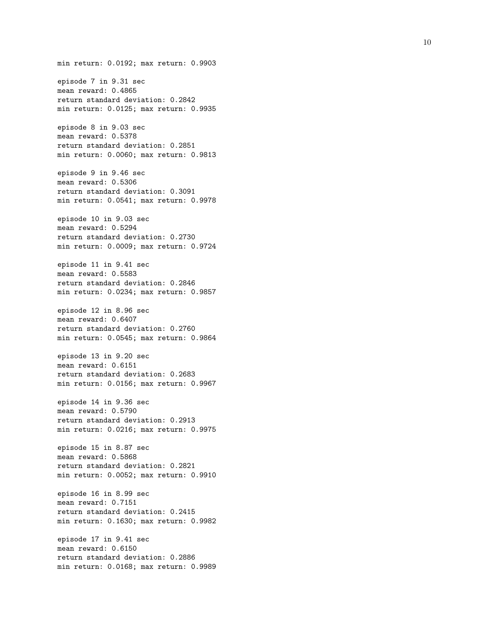min return: 0.0192; max return: 0.9903 episode 7 in 9.31 sec mean reward: 0.4865 return standard deviation: 0.2842 min return: 0.0125; max return: 0.9935 episode 8 in 9.03 sec mean reward: 0.5378 return standard deviation: 0.2851 min return: 0.0060; max return: 0.9813 episode 9 in 9.46 sec mean reward: 0.5306 return standard deviation: 0.3091 min return: 0.0541; max return: 0.9978 episode 10 in 9.03 sec mean reward: 0.5294 return standard deviation: 0.2730 min return: 0.0009; max return: 0.9724 episode 11 in 9.41 sec mean reward: 0.5583 return standard deviation: 0.2846 min return: 0.0234; max return: 0.9857 episode 12 in 8.96 sec mean reward: 0.6407 return standard deviation: 0.2760 min return: 0.0545; max return: 0.9864 episode 13 in 9.20 sec mean reward: 0.6151 return standard deviation: 0.2683 min return: 0.0156; max return: 0.9967 episode 14 in 9.36 sec mean reward: 0.5790 return standard deviation: 0.2913 min return: 0.0216; max return: 0.9975 episode 15 in 8.87 sec mean reward: 0.5868 return standard deviation: 0.2821 min return: 0.0052; max return: 0.9910 episode 16 in 8.99 sec mean reward: 0.7151 return standard deviation: 0.2415 min return: 0.1630; max return: 0.9982 episode 17 in 9.41 sec mean reward: 0.6150 return standard deviation: 0.2886 min return: 0.0168; max return: 0.9989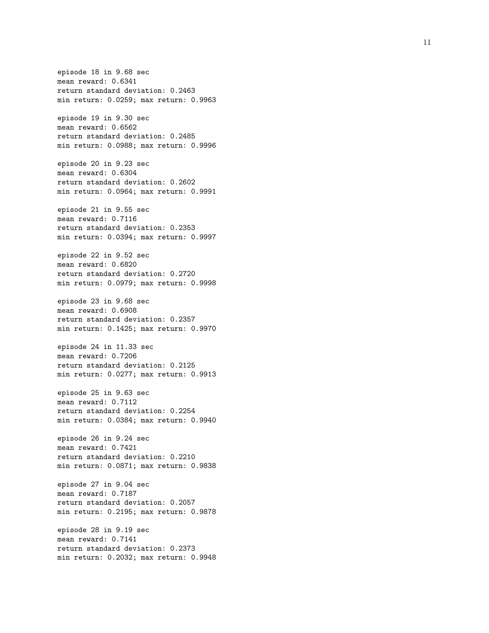episode 18 in 9.68 sec mean reward: 0.6341 return standard deviation: 0.2463 min return: 0.0259; max return: 0.9963 episode 19 in 9.30 sec mean reward: 0.6562 return standard deviation: 0.2485 min return: 0.0988; max return: 0.9996 episode 20 in 9.23 sec mean reward: 0.6304 return standard deviation: 0.2602 min return: 0.0964; max return: 0.9991 episode 21 in 9.55 sec mean reward: 0.7116 return standard deviation: 0.2353 min return: 0.0394; max return: 0.9997 episode 22 in 9.52 sec mean reward: 0.6820 return standard deviation: 0.2720 min return: 0.0979; max return: 0.9998 episode 23 in 9.68 sec mean reward: 0.6908 return standard deviation: 0.2357 min return: 0.1425; max return: 0.9970 episode 24 in 11.33 sec mean reward: 0.7206 return standard deviation: 0.2125 min return: 0.0277; max return: 0.9913 episode 25 in 9.63 sec mean reward: 0.7112 return standard deviation: 0.2254 min return: 0.0384; max return: 0.9940 episode 26 in 9.24 sec mean reward: 0.7421 return standard deviation: 0.2210 min return: 0.0871; max return: 0.9838 episode 27 in 9.04 sec mean reward: 0.7187 return standard deviation: 0.2057 min return: 0.2195; max return: 0.9878 episode 28 in 9.19 sec mean reward: 0.7141 return standard deviation: 0.2373 min return: 0.2032; max return: 0.9948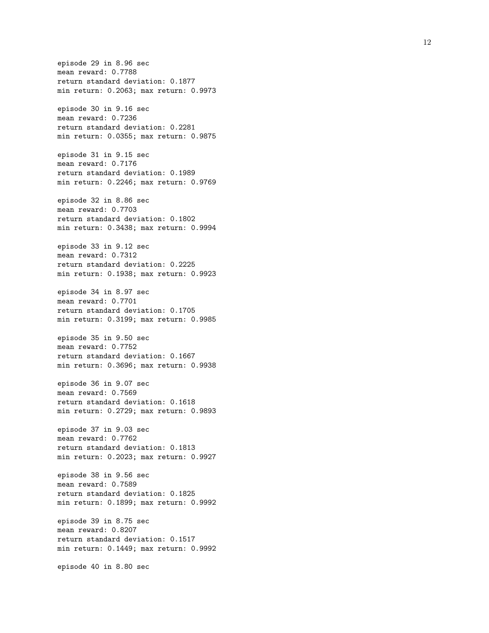episode 29 in 8.96 sec mean reward: 0.7788 return standard deviation: 0.1877 min return: 0.2063; max return: 0.9973 episode 30 in 9.16 sec mean reward: 0.7236 return standard deviation: 0.2281 min return: 0.0355; max return: 0.9875 episode 31 in 9.15 sec mean reward: 0.7176 return standard deviation: 0.1989 min return: 0.2246; max return: 0.9769 episode 32 in 8.86 sec mean reward: 0.7703 return standard deviation: 0.1802 min return: 0.3438; max return: 0.9994 episode 33 in 9.12 sec mean reward: 0.7312 return standard deviation: 0.2225 min return: 0.1938; max return: 0.9923 episode 34 in 8.97 sec mean reward: 0.7701 return standard deviation: 0.1705 min return: 0.3199; max return: 0.9985 episode 35 in 9.50 sec mean reward: 0.7752 return standard deviation: 0.1667 min return: 0.3696; max return: 0.9938 episode 36 in 9.07 sec mean reward: 0.7569 return standard deviation: 0.1618 min return: 0.2729; max return: 0.9893 episode 37 in 9.03 sec mean reward: 0.7762 return standard deviation: 0.1813 min return: 0.2023; max return: 0.9927 episode 38 in 9.56 sec mean reward: 0.7589 return standard deviation: 0.1825 min return: 0.1899; max return: 0.9992 episode 39 in 8.75 sec mean reward: 0.8207 return standard deviation: 0.1517 min return: 0.1449; max return: 0.9992 episode 40 in 8.80 sec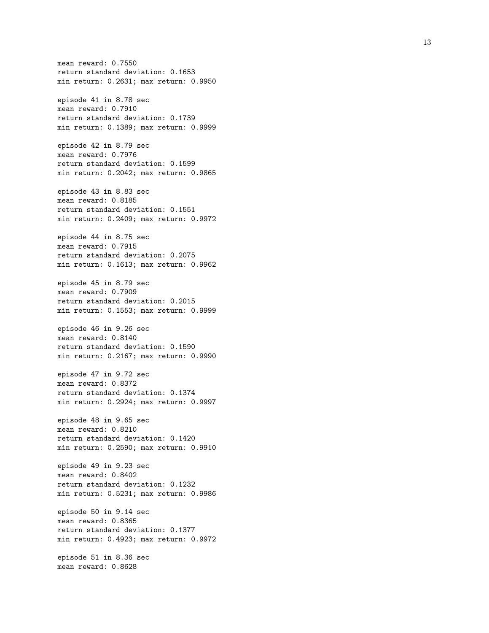mean reward: 0.7550 return standard deviation: 0.1653 min return: 0.2631; max return: 0.9950 episode 41 in 8.78 sec mean reward: 0.7910 return standard deviation: 0.1739 min return: 0.1389; max return: 0.9999 episode 42 in 8.79 sec mean reward: 0.7976 return standard deviation: 0.1599 min return: 0.2042; max return: 0.9865 episode 43 in 8.83 sec mean reward: 0.8185 return standard deviation: 0.1551 min return: 0.2409; max return: 0.9972 episode 44 in 8.75 sec mean reward: 0.7915 return standard deviation: 0.2075 min return: 0.1613; max return: 0.9962 episode 45 in 8.79 sec mean reward: 0.7909 return standard deviation: 0.2015 min return: 0.1553; max return: 0.9999 episode 46 in 9.26 sec mean reward: 0.8140 return standard deviation: 0.1590 min return: 0.2167; max return: 0.9990 episode 47 in 9.72 sec mean reward: 0.8372 return standard deviation: 0.1374 min return: 0.2924; max return: 0.9997 episode 48 in 9.65 sec mean reward: 0.8210 return standard deviation: 0.1420 min return: 0.2590; max return: 0.9910 episode 49 in 9.23 sec mean reward: 0.8402 return standard deviation: 0.1232 min return: 0.5231; max return: 0.9986 episode 50 in 9.14 sec mean reward: 0.8365 return standard deviation: 0.1377 min return: 0.4923; max return: 0.9972 episode 51 in 8.36 sec mean reward: 0.8628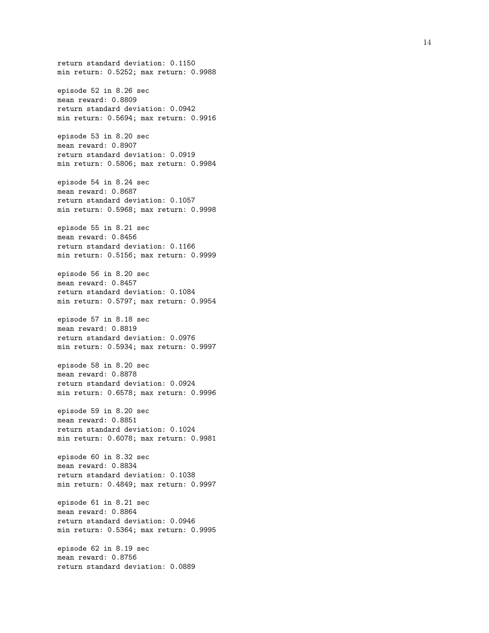return standard deviation: 0.1150 min return: 0.5252; max return: 0.9988 episode 52 in 8.26 sec mean reward: 0.8809 return standard deviation: 0.0942 min return: 0.5694; max return: 0.9916 episode 53 in 8.20 sec mean reward: 0.8907 return standard deviation: 0.0919 min return: 0.5806; max return: 0.9984 episode 54 in 8.24 sec mean reward: 0.8687 return standard deviation: 0.1057 min return: 0.5968; max return: 0.9998 episode 55 in 8.21 sec mean reward: 0.8456 return standard deviation: 0.1166 min return: 0.5156; max return: 0.9999 episode 56 in 8.20 sec mean reward: 0.8457 return standard deviation: 0.1084 min return: 0.5797; max return: 0.9954 episode 57 in 8.18 sec mean reward: 0.8819 return standard deviation: 0.0976 min return: 0.5934; max return: 0.9997 episode 58 in 8.20 sec mean reward: 0.8878 return standard deviation: 0.0924 min return: 0.6578; max return: 0.9996 episode 59 in 8.20 sec mean reward: 0.8851 return standard deviation: 0.1024 min return: 0.6078; max return: 0.9981 episode 60 in 8.32 sec mean reward: 0.8834 return standard deviation: 0.1038 min return: 0.4849; max return: 0.9997 episode 61 in 8.21 sec mean reward: 0.8864 return standard deviation: 0.0946 min return: 0.5364; max return: 0.9995 episode 62 in 8.19 sec

mean reward: 0.8756 return standard deviation: 0.0889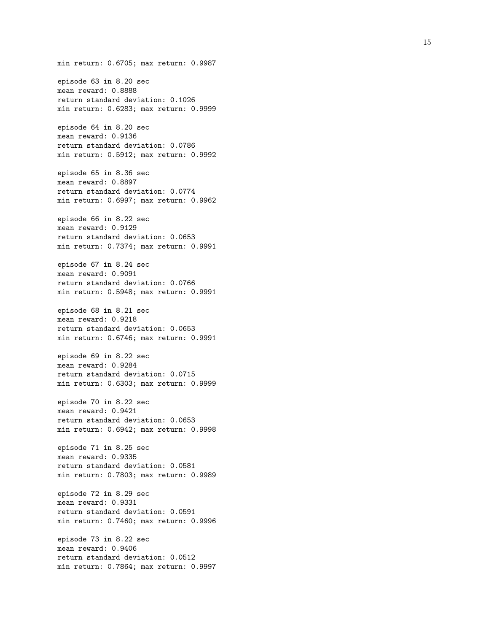min return: 0.6705; max return: 0.9987 episode 63 in 8.20 sec mean reward: 0.8888 return standard deviation: 0.1026 min return: 0.6283; max return: 0.9999 episode 64 in 8.20 sec mean reward: 0.9136 return standard deviation: 0.0786 min return: 0.5912; max return: 0.9992 episode 65 in 8.36 sec mean reward: 0.8897 return standard deviation: 0.0774 min return: 0.6997; max return: 0.9962 episode 66 in 8.22 sec mean reward: 0.9129 return standard deviation: 0.0653 min return: 0.7374; max return: 0.9991 episode 67 in 8.24 sec mean reward: 0.9091 return standard deviation: 0.0766 min return: 0.5948; max return: 0.9991 episode 68 in 8.21 sec mean reward: 0.9218 return standard deviation: 0.0653 min return: 0.6746; max return: 0.9991 episode 69 in 8.22 sec mean reward: 0.9284 return standard deviation: 0.0715 min return: 0.6303; max return: 0.9999 episode 70 in 8.22 sec mean reward: 0.9421 return standard deviation: 0.0653 min return: 0.6942; max return: 0.9998 episode 71 in 8.25 sec mean reward: 0.9335 return standard deviation: 0.0581 min return: 0.7803; max return: 0.9989 episode 72 in 8.29 sec mean reward: 0.9331 return standard deviation: 0.0591 min return: 0.7460; max return: 0.9996 episode 73 in 8.22 sec mean reward: 0.9406 return standard deviation: 0.0512 min return: 0.7864; max return: 0.9997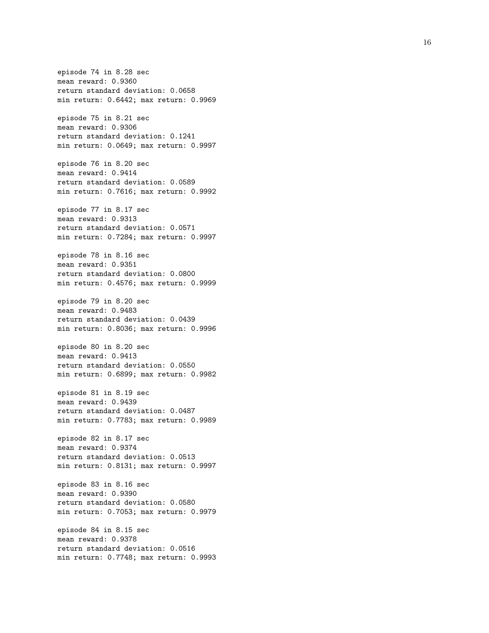episode 74 in 8.28 sec mean reward: 0.9360 return standard deviation: 0.0658 min return: 0.6442; max return: 0.9969 episode 75 in 8.21 sec mean reward: 0.9306 return standard deviation: 0.1241 min return: 0.0649; max return: 0.9997 episode 76 in 8.20 sec mean reward: 0.9414 return standard deviation: 0.0589 min return: 0.7616; max return: 0.9992 episode 77 in 8.17 sec mean reward: 0.9313 return standard deviation: 0.0571 min return: 0.7284; max return: 0.9997 episode 78 in 8.16 sec mean reward: 0.9351 return standard deviation: 0.0800 min return: 0.4576; max return: 0.9999 episode 79 in 8.20 sec mean reward: 0.9483 return standard deviation: 0.0439 min return: 0.8036; max return: 0.9996 episode 80 in 8.20 sec mean reward: 0.9413 return standard deviation: 0.0550 min return: 0.6899; max return: 0.9982 episode 81 in 8.19 sec mean reward: 0.9439 return standard deviation: 0.0487 min return: 0.7783; max return: 0.9989 episode 82 in 8.17 sec mean reward: 0.9374 return standard deviation: 0.0513 min return: 0.8131; max return: 0.9997 episode 83 in 8.16 sec mean reward: 0.9390 return standard deviation: 0.0580 min return: 0.7053; max return: 0.9979 episode 84 in 8.15 sec mean reward: 0.9378 return standard deviation: 0.0516 min return: 0.7748; max return: 0.9993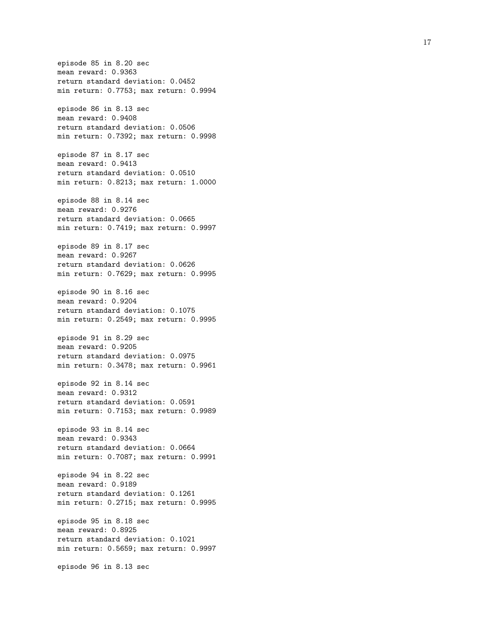episode 85 in 8.20 sec mean reward: 0.9363 return standard deviation: 0.0452 min return: 0.7753; max return: 0.9994 episode 86 in 8.13 sec mean reward: 0.9408 return standard deviation: 0.0506 min return: 0.7392; max return: 0.9998 episode 87 in 8.17 sec mean reward: 0.9413 return standard deviation: 0.0510 min return: 0.8213; max return: 1.0000 episode 88 in 8.14 sec mean reward: 0.9276 return standard deviation: 0.0665 min return: 0.7419; max return: 0.9997 episode 89 in 8.17 sec mean reward: 0.9267 return standard deviation: 0.0626 min return: 0.7629; max return: 0.9995 episode 90 in 8.16 sec mean reward: 0.9204 return standard deviation: 0.1075 min return: 0.2549; max return: 0.9995 episode 91 in 8.29 sec mean reward: 0.9205 return standard deviation: 0.0975 min return: 0.3478; max return: 0.9961 episode 92 in 8.14 sec mean reward: 0.9312 return standard deviation: 0.0591 min return: 0.7153; max return: 0.9989 episode 93 in 8.14 sec mean reward: 0.9343 return standard deviation: 0.0664 min return: 0.7087; max return: 0.9991 episode 94 in 8.22 sec mean reward: 0.9189 return standard deviation: 0.1261 min return: 0.2715; max return: 0.9995 episode 95 in 8.18 sec mean reward: 0.8925 return standard deviation: 0.1021 min return: 0.5659; max return: 0.9997 episode 96 in 8.13 sec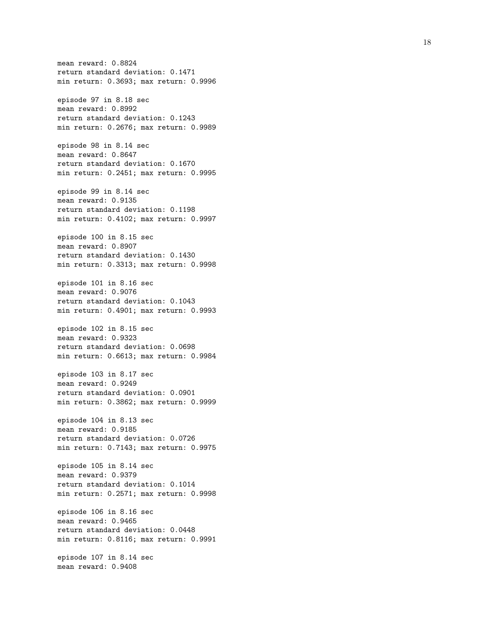mean reward: 0.8824 return standard deviation: 0.1471 min return: 0.3693; max return: 0.9996 episode 97 in 8.18 sec mean reward: 0.8992 return standard deviation: 0.1243 min return: 0.2676; max return: 0.9989 episode 98 in 8.14 sec mean reward: 0.8647 return standard deviation: 0.1670 min return: 0.2451; max return: 0.9995 episode 99 in 8.14 sec mean reward: 0.9135 return standard deviation: 0.1198 min return: 0.4102; max return: 0.9997 episode 100 in 8.15 sec mean reward: 0.8907 return standard deviation: 0.1430 min return: 0.3313; max return: 0.9998 episode 101 in 8.16 sec mean reward: 0.9076 return standard deviation: 0.1043 min return: 0.4901; max return: 0.9993 episode 102 in 8.15 sec mean reward: 0.9323 return standard deviation: 0.0698 min return: 0.6613; max return: 0.9984 episode 103 in 8.17 sec mean reward: 0.9249 return standard deviation: 0.0901 min return: 0.3862; max return: 0.9999 episode 104 in 8.13 sec mean reward: 0.9185 return standard deviation: 0.0726 min return: 0.7143; max return: 0.9975 episode 105 in 8.14 sec mean reward: 0.9379 return standard deviation: 0.1014 min return: 0.2571; max return: 0.9998 episode 106 in 8.16 sec mean reward: 0.9465 return standard deviation: 0.0448 min return: 0.8116; max return: 0.9991 episode 107 in 8.14 sec mean reward: 0.9408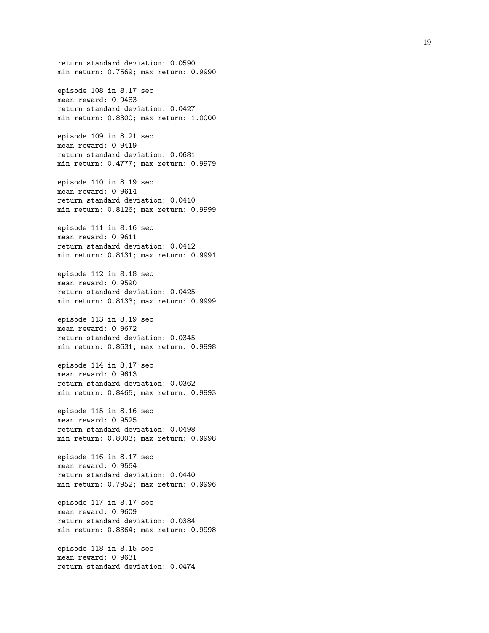return standard deviation: 0.0590 min return: 0.7569; max return: 0.9990 episode 108 in 8.17 sec mean reward: 0.9483 return standard deviation: 0.0427 min return: 0.8300; max return: 1.0000 episode 109 in 8.21 sec mean reward: 0.9419 return standard deviation: 0.0681 min return: 0.4777; max return: 0.9979 episode 110 in 8.19 sec mean reward: 0.9614 return standard deviation: 0.0410 min return: 0.8126; max return: 0.9999 episode 111 in 8.16 sec mean reward: 0.9611 return standard deviation: 0.0412 min return: 0.8131; max return: 0.9991 episode 112 in 8.18 sec mean reward: 0.9590 return standard deviation: 0.0425 min return: 0.8133; max return: 0.9999 episode 113 in 8.19 sec mean reward: 0.9672 return standard deviation: 0.0345 min return: 0.8631; max return: 0.9998 episode 114 in 8.17 sec mean reward: 0.9613 return standard deviation: 0.0362 min return: 0.8465; max return: 0.9993 episode 115 in 8.16 sec mean reward: 0.9525 return standard deviation: 0.0498 min return: 0.8003; max return: 0.9998 episode 116 in 8.17 sec mean reward: 0.9564 return standard deviation: 0.0440 min return: 0.7952; max return: 0.9996 episode 117 in 8.17 sec mean reward: 0.9609 return standard deviation: 0.0384 min return: 0.8364; max return: 0.9998 episode 118 in 8.15 sec mean reward: 0.9631 return standard deviation: 0.0474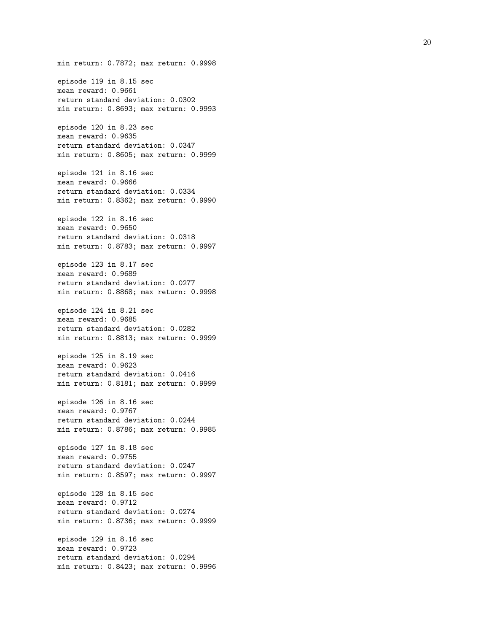min return: 0.7872; max return: 0.9998 episode 119 in 8.15 sec mean reward: 0.9661 return standard deviation: 0.0302 min return: 0.8693; max return: 0.9993 episode 120 in 8.23 sec mean reward: 0.9635 return standard deviation: 0.0347 min return: 0.8605; max return: 0.9999 episode 121 in 8.16 sec mean reward: 0.9666 return standard deviation: 0.0334 min return: 0.8362; max return: 0.9990 episode 122 in 8.16 sec mean reward: 0.9650 return standard deviation: 0.0318 min return: 0.8783; max return: 0.9997 episode 123 in 8.17 sec mean reward: 0.9689 return standard deviation: 0.0277 min return: 0.8868; max return: 0.9998 episode 124 in 8.21 sec mean reward: 0.9685 return standard deviation: 0.0282 min return: 0.8813; max return: 0.9999 episode 125 in 8.19 sec mean reward: 0.9623 return standard deviation: 0.0416 min return: 0.8181; max return: 0.9999 episode 126 in 8.16 sec mean reward: 0.9767 return standard deviation: 0.0244 min return: 0.8786; max return: 0.9985 episode 127 in 8.18 sec mean reward: 0.9755 return standard deviation: 0.0247 min return: 0.8597; max return: 0.9997 episode 128 in 8.15 sec mean reward: 0.9712 return standard deviation: 0.0274 min return: 0.8736; max return: 0.9999 episode 129 in 8.16 sec mean reward: 0.9723 return standard deviation: 0.0294 min return: 0.8423; max return: 0.9996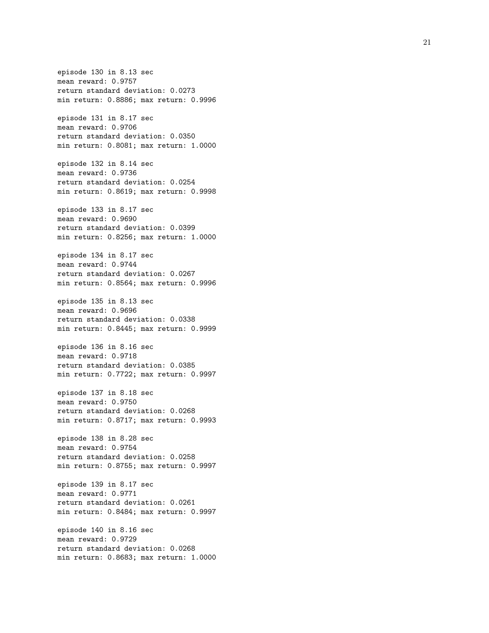episode 130 in 8.13 sec mean reward: 0.9757 return standard deviation: 0.0273 min return: 0.8886; max return: 0.9996 episode 131 in 8.17 sec mean reward: 0.9706 return standard deviation: 0.0350 min return: 0.8081; max return: 1.0000 episode 132 in 8.14 sec mean reward: 0.9736 return standard deviation: 0.0254 min return: 0.8619; max return: 0.9998 episode 133 in 8.17 sec mean reward: 0.9690 return standard deviation: 0.0399 min return: 0.8256; max return: 1.0000 episode 134 in 8.17 sec mean reward: 0.9744 return standard deviation: 0.0267 min return: 0.8564; max return: 0.9996 episode 135 in 8.13 sec mean reward: 0.9696 return standard deviation: 0.0338 min return: 0.8445; max return: 0.9999 episode 136 in 8.16 sec mean reward: 0.9718 return standard deviation: 0.0385 min return: 0.7722; max return: 0.9997 episode 137 in 8.18 sec mean reward: 0.9750 return standard deviation: 0.0268 min return: 0.8717; max return: 0.9993 episode 138 in 8.28 sec mean reward: 0.9754 return standard deviation: 0.0258 min return: 0.8755; max return: 0.9997 episode 139 in 8.17 sec mean reward: 0.9771 return standard deviation: 0.0261 min return: 0.8484; max return: 0.9997 episode 140 in 8.16 sec mean reward: 0.9729 return standard deviation: 0.0268 min return: 0.8683; max return: 1.0000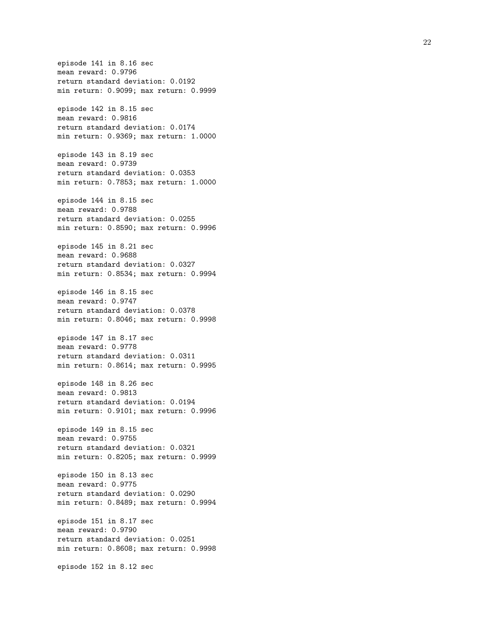episode 141 in 8.16 sec mean reward: 0.9796 return standard deviation: 0.0192 min return: 0.9099; max return: 0.9999 episode 142 in 8.15 sec mean reward: 0.9816 return standard deviation: 0.0174 min return: 0.9369; max return: 1.0000 episode 143 in 8.19 sec mean reward: 0.9739 return standard deviation: 0.0353 min return: 0.7853; max return: 1.0000 episode 144 in 8.15 sec mean reward: 0.9788 return standard deviation: 0.0255 min return: 0.8590; max return: 0.9996 episode 145 in 8.21 sec mean reward: 0.9688 return standard deviation: 0.0327 min return: 0.8534; max return: 0.9994 episode 146 in 8.15 sec mean reward: 0.9747 return standard deviation: 0.0378 min return: 0.8046; max return: 0.9998 episode 147 in 8.17 sec mean reward: 0.9778 return standard deviation: 0.0311 min return: 0.8614; max return: 0.9995 episode 148 in 8.26 sec mean reward: 0.9813 return standard deviation: 0.0194 min return: 0.9101; max return: 0.9996 episode 149 in 8.15 sec mean reward: 0.9755 return standard deviation: 0.0321 min return: 0.8205; max return: 0.9999 episode 150 in 8.13 sec mean reward: 0.9775 return standard deviation: 0.0290 min return: 0.8489; max return: 0.9994 episode 151 in 8.17 sec mean reward: 0.9790 return standard deviation: 0.0251 min return: 0.8608; max return: 0.9998 episode 152 in 8.12 sec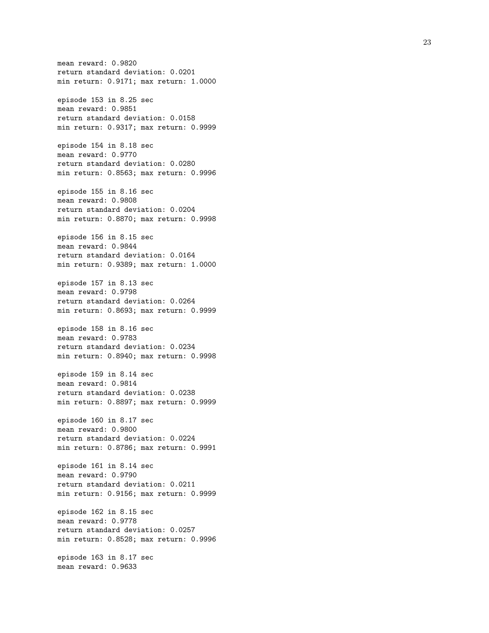mean reward: 0.9820 return standard deviation: 0.0201 min return: 0.9171; max return: 1.0000 episode 153 in 8.25 sec mean reward: 0.9851 return standard deviation: 0.0158 min return: 0.9317; max return: 0.9999 episode 154 in 8.18 sec mean reward: 0.9770 return standard deviation: 0.0280 min return: 0.8563; max return: 0.9996 episode 155 in 8.16 sec mean reward: 0.9808 return standard deviation: 0.0204 min return: 0.8870; max return: 0.9998 episode 156 in 8.15 sec mean reward: 0.9844 return standard deviation: 0.0164 min return: 0.9389; max return: 1.0000 episode 157 in 8.13 sec mean reward: 0.9798 return standard deviation: 0.0264 min return: 0.8693; max return: 0.9999 episode 158 in 8.16 sec mean reward: 0.9783 return standard deviation: 0.0234 min return: 0.8940; max return: 0.9998 episode 159 in 8.14 sec mean reward: 0.9814 return standard deviation: 0.0238 min return: 0.8897; max return: 0.9999 episode 160 in 8.17 sec mean reward: 0.9800 return standard deviation: 0.0224 min return: 0.8786; max return: 0.9991 episode 161 in 8.14 sec mean reward: 0.9790 return standard deviation: 0.0211 min return: 0.9156; max return: 0.9999 episode 162 in 8.15 sec mean reward: 0.9778 return standard deviation: 0.0257 min return: 0.8528; max return: 0.9996 episode 163 in 8.17 sec mean reward: 0.9633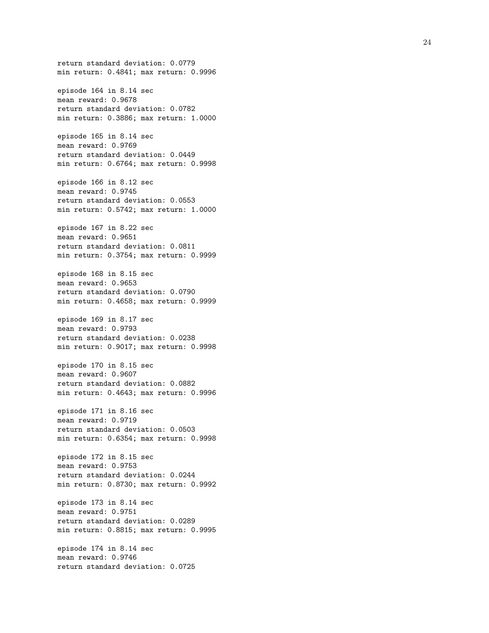return standard deviation: 0.0779 min return: 0.4841; max return: 0.9996 episode 164 in 8.14 sec mean reward: 0.9678 return standard deviation: 0.0782 min return: 0.3886; max return: 1.0000 episode 165 in 8.14 sec mean reward: 0.9769 return standard deviation: 0.0449 min return: 0.6764; max return: 0.9998 episode 166 in 8.12 sec mean reward: 0.9745 return standard deviation: 0.0553 min return: 0.5742; max return: 1.0000 episode 167 in 8.22 sec mean reward: 0.9651 return standard deviation: 0.0811 min return: 0.3754; max return: 0.9999 episode 168 in 8.15 sec mean reward: 0.9653 return standard deviation: 0.0790 min return: 0.4658; max return: 0.9999 episode 169 in 8.17 sec mean reward: 0.9793 return standard deviation: 0.0238 min return: 0.9017; max return: 0.9998 episode 170 in 8.15 sec mean reward: 0.9607 return standard deviation: 0.0882 min return: 0.4643; max return: 0.9996 episode 171 in 8.16 sec mean reward: 0.9719 return standard deviation: 0.0503 min return: 0.6354; max return: 0.9998 episode 172 in 8.15 sec mean reward: 0.9753 return standard deviation: 0.0244 min return: 0.8730; max return: 0.9992 episode 173 in 8.14 sec mean reward: 0.9751 return standard deviation: 0.0289 min return: 0.8815; max return: 0.9995 episode 174 in 8.14 sec mean reward: 0.9746 return standard deviation: 0.0725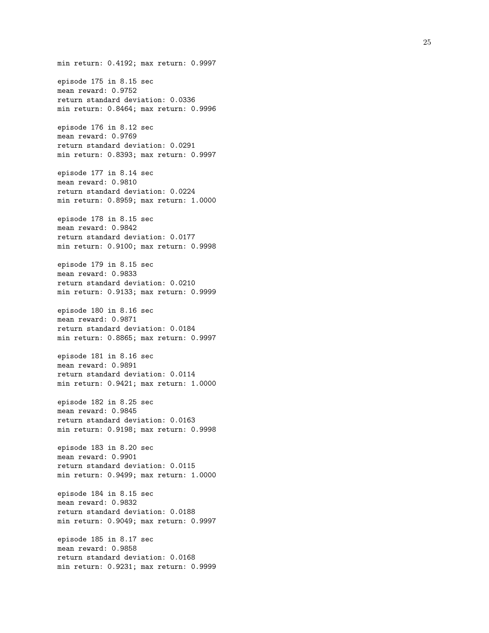min return: 0.4192; max return: 0.9997 episode 175 in 8.15 sec mean reward: 0.9752 return standard deviation: 0.0336 min return: 0.8464; max return: 0.9996 episode 176 in 8.12 sec mean reward: 0.9769 return standard deviation: 0.0291 min return: 0.8393; max return: 0.9997 episode 177 in 8.14 sec mean reward: 0.9810 return standard deviation: 0.0224 min return: 0.8959; max return: 1.0000 episode 178 in 8.15 sec mean reward: 0.9842 return standard deviation: 0.0177 min return: 0.9100; max return: 0.9998 episode 179 in 8.15 sec mean reward: 0.9833 return standard deviation: 0.0210 min return: 0.9133; max return: 0.9999 episode 180 in 8.16 sec mean reward: 0.9871 return standard deviation: 0.0184 min return: 0.8865; max return: 0.9997 episode 181 in 8.16 sec mean reward: 0.9891 return standard deviation: 0.0114 min return: 0.9421; max return: 1.0000 episode 182 in 8.25 sec mean reward: 0.9845 return standard deviation: 0.0163 min return: 0.9198; max return: 0.9998 episode 183 in 8.20 sec mean reward: 0.9901 return standard deviation: 0.0115 min return: 0.9499; max return: 1.0000 episode 184 in 8.15 sec mean reward: 0.9832 return standard deviation: 0.0188 min return: 0.9049; max return: 0.9997 episode 185 in 8.17 sec mean reward: 0.9858 return standard deviation: 0.0168 min return: 0.9231; max return: 0.9999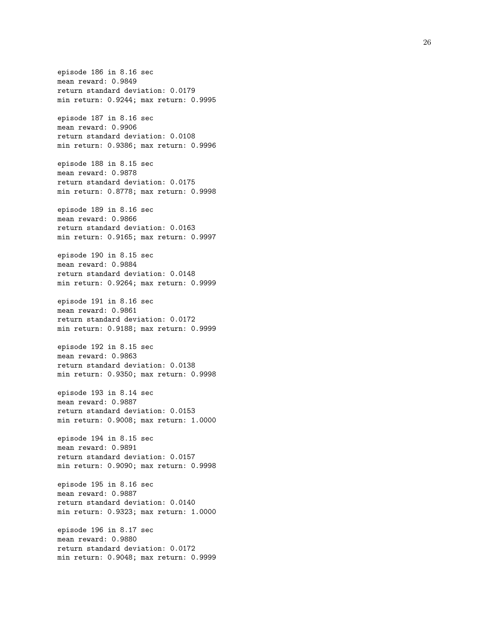episode 186 in 8.16 sec mean reward: 0.9849 return standard deviation: 0.0179 min return: 0.9244; max return: 0.9995 episode 187 in 8.16 sec mean reward: 0.9906 return standard deviation: 0.0108 min return: 0.9386; max return: 0.9996 episode 188 in 8.15 sec mean reward: 0.9878 return standard deviation: 0.0175 min return: 0.8778; max return: 0.9998 episode 189 in 8.16 sec mean reward: 0.9866 return standard deviation: 0.0163 min return: 0.9165; max return: 0.9997 episode 190 in 8.15 sec mean reward: 0.9884 return standard deviation: 0.0148 min return: 0.9264; max return: 0.9999 episode 191 in 8.16 sec mean reward: 0.9861 return standard deviation: 0.0172 min return: 0.9188; max return: 0.9999 episode 192 in 8.15 sec mean reward: 0.9863 return standard deviation: 0.0138 min return: 0.9350; max return: 0.9998 episode 193 in 8.14 sec mean reward: 0.9887 return standard deviation: 0.0153 min return: 0.9008; max return: 1.0000 episode 194 in 8.15 sec mean reward: 0.9891 return standard deviation: 0.0157 min return: 0.9090; max return: 0.9998 episode 195 in 8.16 sec mean reward: 0.9887 return standard deviation: 0.0140 min return: 0.9323; max return: 1.0000 episode 196 in 8.17 sec mean reward: 0.9880 return standard deviation: 0.0172 min return: 0.9048; max return: 0.9999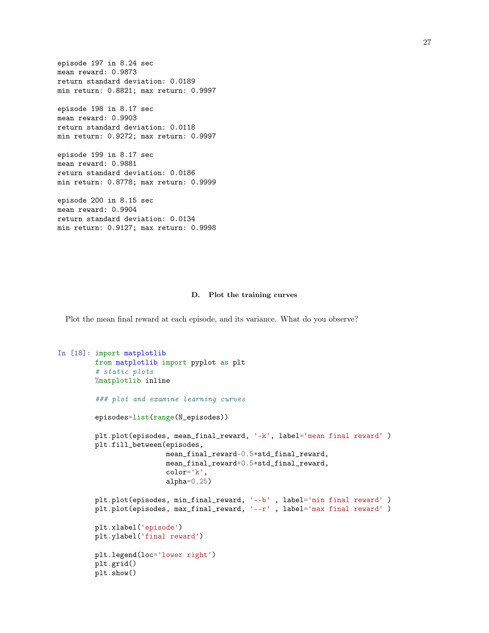```
episode 197 in 8.24 sec
mean reward: 0.9873
return standard deviation: 0.0189
min return: 0.8821; max return: 0.9997
episode 198 in 8.17 sec
mean reward: 0.9903
return standard deviation: 0.0118
min return: 0.9272; max return: 0.9997
episode 199 in 8.17 sec
mean reward: 0.9881
return standard deviation: 0.0186
min return: 0.8778; max return: 0.9999
episode 200 in 8.15 sec
mean reward: 0.9904
return standard deviation: 0.0134
```
min return: 0.9127; max return: 0.9998

#### D. Plot the training curves

Plot the mean final reward at each episode, and its variance. What do you observe?

```
In [18]: import matplotlib
         from matplotlib import pyplot as plt
         # static plots
         %matplotlib inline
         ### plot and examine learning curves
         episodes=list(range(N_episodes))
         plt.plot(episodes, mean_final_reward, '-k', label='mean final reward' )
         plt.fill_between(episodes,
                          mean_final_reward-0.5*std_final_reward,
                          mean_final_reward+0.5*std_final_reward,
                          color='k',
                          alpha=0.25)plt.plot(episodes, min_final_reward, '--b' , label='min final reward' )
         plt.plot(episodes, max_final_reward, '--r', label='max final reward')
         plt.xlabel('episode')
         plt.ylabel('final reward')
         plt.legend(loc='lower right')
         plt.grid()
         plt.show()
```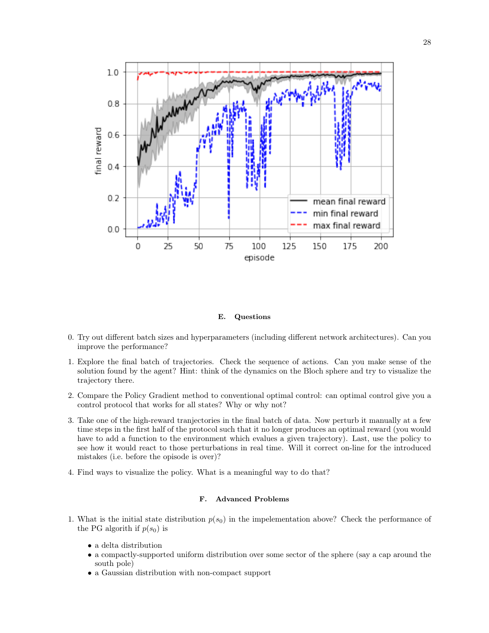

# E. Questions

- 0. Try out different batch sizes and hyperparameters (including different network architectures). Can you improve the performance?
- 1. Explore the final batch of trajectories. Check the sequence of actions. Can you make sense of the solution found by the agent? Hint: think of the dynamics on the Bloch sphere and try to visualize the trajectory there.
- 2. Compare the Policy Gradient method to conventional optimal control: can optimal control give you a control protocol that works for all states? Why or why not?
- 3. Take one of the high-reward tranjectories in the final batch of data. Now perturb it manually at a few time steps in the first half of the protocol such that it no longer produces an optimal reward (you would have to add a function to the environment which evalues a given trajectory). Last, use the policy to see how it would react to those perturbations in real time. Will it correct on-line for the introduced mistakes (i.e. before the opisode is over)?
- 4. Find ways to visualize the policy. What is a meaningful way to do that?

# F. Advanced Problems

- 1. What is the initial state distribution  $p(s_0)$  in the impelementation above? Check the performance of the PG algorith if  $p(s_0)$  is
	- a delta distribution
	- a compactly-supported uniform distribution over some sector of the sphere (say a cap around the south pole)
	- a Gaussian distribution with non-compact support